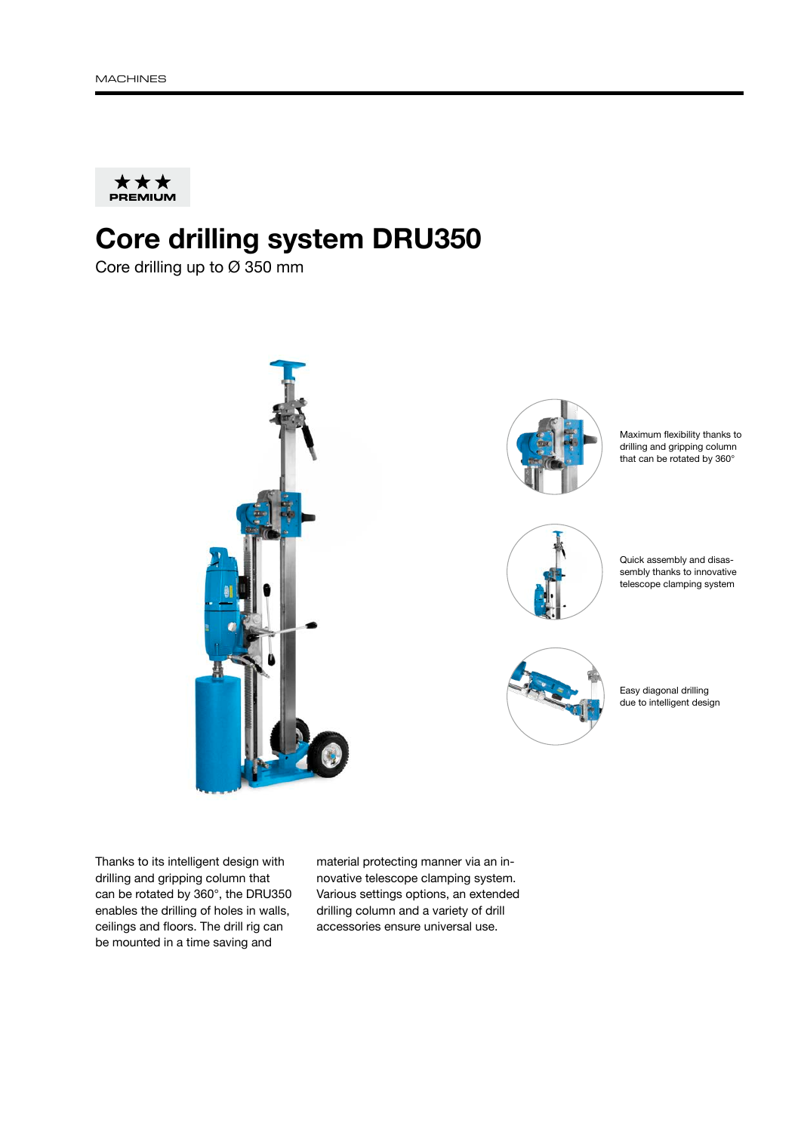

## Core drilling system DRU350

Core drilling up to Ø 350 mm



Thanks to its intelligent design with drilling and gripping column that can be rotated by 360°, the DRU350 enables the drilling of holes in walls, ceilings and floors. The drill rig can be mounted in a time saving and

material protecting manner via an innovative telescope clamping system. Various settings options, an extended drilling column and a variety of drill accessories ensure universal use.